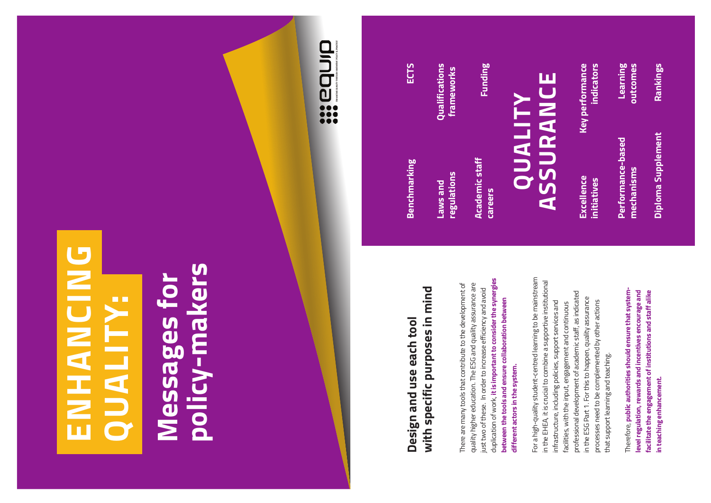# **ENHANCING QUALITY:**

# **Messages for policy-makers**



### **Design and use each tool with specific purposes in mind**

There are many tools that contribute to the development of quality higher education. The ESG and quality assurance are just two of these. In order to increase efficiency and avoid duplication of work, **it is important to consider the synergies between the tools and ensure collaboration between different actors in the system.**

For a high-quality student-centred learning to be mainstream in the EHEA, it is crucial to combine a supportive institutional infrastructure, including policies, support services and facilities, with the input, engagement and continuous professional development of academic staff, as indicated in the ESG Part 1. For this to happen, quality assurance processes need to be complemented by other actions that support learning and teaching.

Therefore, **public authorities should ensure that systemlevel regulation, rewards and incentives encourage and facilitate the engagement of institutions and staff alike in teaching enhancement.** 

#### **Benchmarking**

**Laws and regulations**

**Qualifications frameworks**

**Academic staff careers**

**Funding**

**ECTS**

## **QUALITY ASSURANCE**

**Excellence initiatives**

**Key performance indicators**

**Performance-based mechanisms**

**Learning outcomes**

**Diploma Supplement**

**Rankings**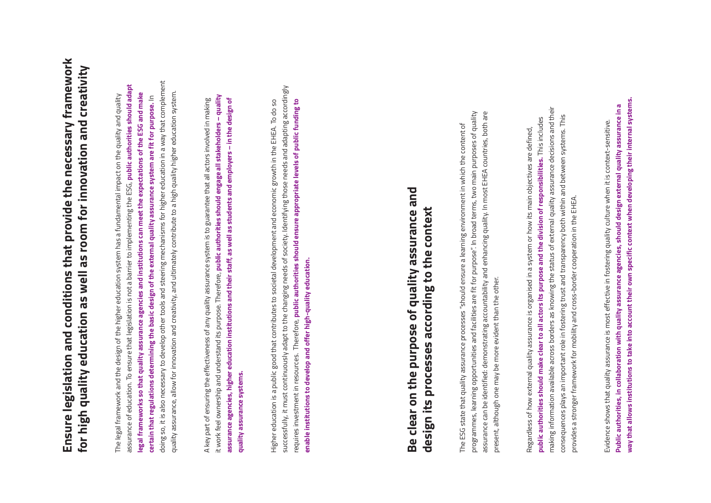### **Ensure legislation and conditions that provide the necessary framework for high quality education as well as room for innovation and creativity**

The legal framework and the design of the higher education system has a fundamental impact on the quality and quality assurance of education. To ensure that legislation is not a barrier to implementing the ESG, **public authorities should adapt legal frameworks so that quality assurance agencies and institutions can meet the expectations of the ESG and make certain that regulations determining the basic design of the external quality assurance system are fit for purpose.** In doing so, it is also necessary to develop other tools and steering mechanisms for higher education in a way that complement quality assurance, allow for innovation and creativity, and ultimately contribute to a high quality higher education system.

A key part of ensuring the effectiveness of any quality assurance system is to guarantee that all actors involved in making it work feel ownership and understand its purpose. Therefore, **public authorities should engage all stakeholders – quality assurance agencies, higher education institutions and their staff, as well as students and employers – in the design of quality assurance systems.** 

Higher education is a public good that contributes to societal development and economic growth in the EHEA. To do so successfully, it must continuously adapt to the changing needs of society. Identifying those needs and adapting accordingly requires investment in resources. Therefore, **public authorities should ensure appropriate levels of public funding to enable institutions to develop and offer high-quality education.**

### **Be clear on the purpose of quality assurance and design its processes according to the context**

The ESG state that quality assurance processes "should ensure a learning environment in which the content of programmes, learning opportunities and facilities are fit for purpose". In broad terms, two main purposes of quality assurance can be identified: demonstrating accountability and enhancing quality. In most EHEA countries, both are present, although one may be more evident than the other.

Regardless of how external quality assurance is organised in a system or how its main objectives are defined, **public authorities should make clear to all actors its purpose and the division of responsibilities.** This includes making information available across borders as knowing the status of external quality assurance decisions and their consequences plays an important role in fostering trust and transparency both within and between systems. This provides a stronger framework for mobility and cross-border cooperation in the EHEA.

Evidence shows that quality assurance is most effective in fostering quality culture when it is context-sensitive. **Public authorities, in collaboration with quality assurance agencies, should design external quality assurance in a way that allows institutions to take into account their own specific context when developing their internal systems.**